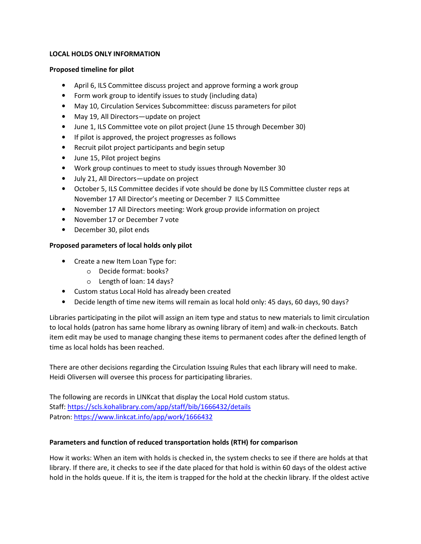### **LOCAL HOLDS ONLY INFORMATION**

#### **Proposed timeline for pilot**

- April 6, ILS Committee discuss project and approve forming a work group
- Form work group to identify issues to study (including data)
- May 10, Circulation Services Subcommittee: discuss parameters for pilot
- May 19, All Directors—update on project
- June 1, ILS Committee vote on pilot project (June 15 through December 30)
- If pilot is approved, the project progresses as follows
- Recruit pilot project participants and begin setup
- June 15, Pilot project begins
- Work group continues to meet to study issues through November 30
- July 21, All Directors—update on project
- October 5, ILS Committee decides if vote should be done by ILS Committee cluster reps at November 17 All Director's meeting or December 7 ILS Committee
- November 17 All Directors meeting: Work group provide information on project
- November 17 or December 7 vote
- December 30, pilot ends

# **Proposed parameters of local holds only pilot**

- Create a new Item Loan Type for:
	- o Decide format: books?
	- o Length of loan: 14 days?
- Custom status Local Hold has already been created
- Decide length of time new items will remain as local hold only: 45 days, 60 days, 90 days?

Libraries participating in the pilot will assign an item type and status to new materials to limit circulation to local holds (patron has same home library as owning library of item) and walk-in checkouts. Batch item edit may be used to manage changing these items to permanent codes after the defined length of time as local holds has been reached.

There are other decisions regarding the Circulation Issuing Rules that each library will need to make. Heidi Oliversen will oversee this process for participating libraries.

The following are records in LINKcat that display the Local Hold custom status. Staff: https://scls.kohalibrary.com/app/staff/bib/1666432/details Patron: https://www.linkcat.info/app/work/1666432

# **Parameters and function of reduced transportation holds (RTH) for comparison**

How it works: When an item with holds is checked in, the system checks to see if there are holds at that library. If there are, it checks to see if the date placed for that hold is within 60 days of the oldest active hold in the holds queue. If it is, the item is trapped for the hold at the checkin library. If the oldest active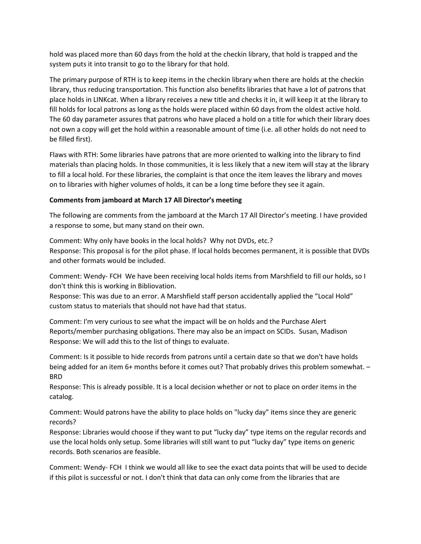hold was placed more than 60 days from the hold at the checkin library, that hold is trapped and the system puts it into transit to go to the library for that hold.

The primary purpose of RTH is to keep items in the checkin library when there are holds at the checkin library, thus reducing transportation. This function also benefits libraries that have a lot of patrons that place holds in LINKcat. When a library receives a new title and checks it in, it will keep it at the library to fill holds for local patrons as long as the holds were placed within 60 days from the oldest active hold. The 60 day parameter assures that patrons who have placed a hold on a title for which their library does not own a copy will get the hold within a reasonable amount of time (i.e. all other holds do not need to be filled first).

Flaws with RTH: Some libraries have patrons that are more oriented to walking into the library to find materials than placing holds. In those communities, it is less likely that a new item will stay at the library to fill a local hold. For these libraries, the complaint is that once the item leaves the library and moves on to libraries with higher volumes of holds, it can be a long time before they see it again.

### **Comments from jamboard at March 17 All Director's meeting**

The following are comments from the jamboard at the March 17 All Director's meeting. I have provided a response to some, but many stand on their own.

Comment: Why only have books in the local holds? Why not DVDs, etc.?

Response: This proposal is for the pilot phase. If local holds becomes permanent, it is possible that DVDs and other formats would be included.

Comment: Wendy- FCH We have been receiving local holds items from Marshfield to fill our holds, so I don't think this is working in Bibliovation.

Response: This was due to an error. A Marshfield staff person accidentally applied the "Local Hold" custom status to materials that should not have had that status.

Comment: I'm very curious to see what the impact will be on holds and the Purchase Alert Reports/member purchasing obligations. There may also be an impact on SCIDs. Susan, Madison Response: We will add this to the list of things to evaluate.

Comment: Is it possible to hide records from patrons until a certain date so that we don't have holds being added for an item 6+ months before it comes out? That probably drives this problem somewhat. – BRD

Response: This is already possible. It is a local decision whether or not to place on order items in the catalog.

Comment: Would patrons have the ability to place holds on "lucky day" items since they are generic records?

Response: Libraries would choose if they want to put "lucky day" type items on the regular records and use the local holds only setup. Some libraries will still want to put "lucky day" type items on generic records. Both scenarios are feasible.

Comment: Wendy- FCH I think we would all like to see the exact data points that will be used to decide if this pilot is successful or not. I don't think that data can only come from the libraries that are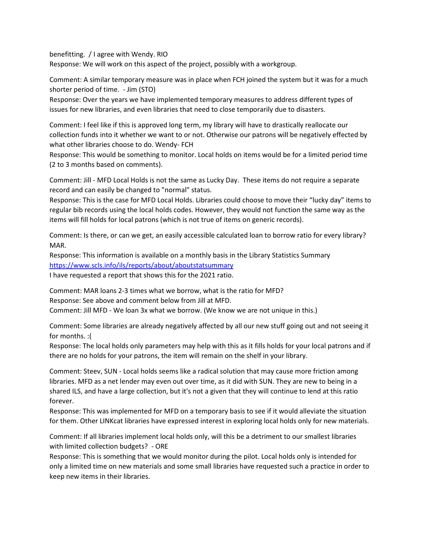benefitting. / I agree with Wendy. RIO

Response: We will work on this aspect of the project, possibly with a workgroup.

Comment: A similar temporary measure was in place when FCH joined the system but it was for a much shorter period of time. - Jim (STO)

Response: Over the years we have implemented temporary measures to address different types of issues for new libraries, and even libraries that need to close temporarily due to disasters.

Comment: I feel like if this is approved long term, my library will have to drastically reallocate our collection funds into it whether we want to or not. Otherwise our patrons will be negatively effected by what other libraries choose to do. Wendy- FCH

Response: This would be something to monitor. Local holds on items would be for a limited period time (2 to 3 months based on comments).

Comment: Jill - MFD Local Holds is not the same as Lucky Day. These items do not require a separate record and can easily be changed to "normal" status.

Response: This is the case for MFD Local Holds. Libraries could choose to move their "lucky day" items to regular bib records using the local holds codes. However, they would not function the same way as the items will fill holds for local patrons (which is not true of items on generic records).

Comment: Is there, or can we get, an easily accessible calculated loan to borrow ratio for every library? MAR.

Response: This information is available on a monthly basis in the Library Statistics Summary https://www.scls.info/ils/reports/about/aboutstatsummary

I have requested a report that shows this for the 2021 ratio.

Comment: MAR loans 2-3 times what we borrow, what is the ratio for MFD? Response: See above and comment below from Jill at MFD.

Comment: Jill MFD - We loan 3x what we borrow. (We know we are not unique in this.)

Comment: Some libraries are already negatively affected by all our new stuff going out and not seeing it for months. :(

Response: The local holds only parameters may help with this as it fills holds for your local patrons and if there are no holds for your patrons, the item will remain on the shelf in your library.

Comment: Steev, SUN - Local holds seems like a radical solution that may cause more friction among libraries. MFD as a net lender may even out over time, as it did with SUN. They are new to being in a shared ILS, and have a large collection, but it's not a given that they will continue to lend at this ratio forever.

Response: This was implemented for MFD on a temporary basis to see if it would alleviate the situation for them. Other LINKcat libraries have expressed interest in exploring local holds only for new materials.

Comment: If all libraries implement local holds only, will this be a detriment to our smallest libraries with limited collection budgets? - ORE

Response: This is something that we would monitor during the pilot. Local holds only is intended for only a limited time on new materials and some small libraries have requested such a practice in order to keep new items in their libraries.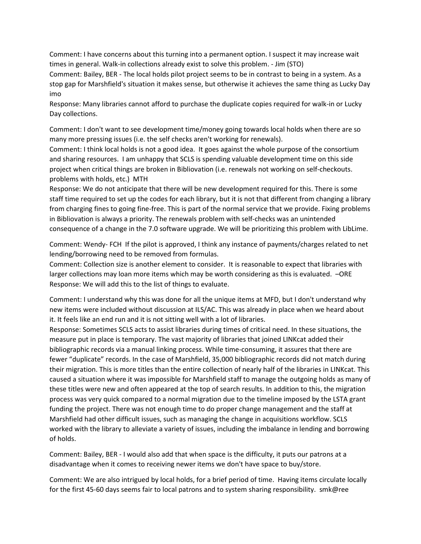Comment: I have concerns about this turning into a permanent option. I suspect it may increase wait times in general. Walk-in collections already exist to solve this problem. - Jim (STO)

Comment: Bailey, BER - The local holds pilot project seems to be in contrast to being in a system. As a stop gap for Marshfield's situation it makes sense, but otherwise it achieves the same thing as Lucky Day imo

Response: Many libraries cannot afford to purchase the duplicate copies required for walk-in or Lucky Day collections.

Comment: I don't want to see development time/money going towards local holds when there are so many more pressing issues (i.e. the self checks aren't working for renewals).

Comment: I think local holds is not a good idea. It goes against the whole purpose of the consortium and sharing resources. I am unhappy that SCLS is spending valuable development time on this side project when critical things are broken in Bibliovation (i.e. renewals not working on self-checkouts. problems with holds, etc.) MTH

Response: We do not anticipate that there will be new development required for this. There is some staff time required to set up the codes for each library, but it is not that different from changing a library from charging fines to going fine-free. This is part of the normal service that we provide. Fixing problems in Bibliovation is always a priority. The renewals problem with self-checks was an unintended consequence of a change in the 7.0 software upgrade. We will be prioritizing this problem with LibLime.

Comment: Wendy- FCH If the pilot is approved, I think any instance of payments/charges related to net lending/borrowing need to be removed from formulas.

Comment: Collection size is another element to consider. It is reasonable to expect that libraries with larger collections may loan more items which may be worth considering as this is evaluated. –ORE Response: We will add this to the list of things to evaluate.

Comment: I understand why this was done for all the unique items at MFD, but I don't understand why new items were included without discussion at ILS/AC. This was already in place when we heard about it. It feels like an end run and it is not sitting well with a lot of libraries.

Response: Sometimes SCLS acts to assist libraries during times of critical need. In these situations, the measure put in place is temporary. The vast majority of libraries that joined LINKcat added their bibliographic records via a manual linking process. While time-consuming, it assures that there are fewer "duplicate" records. In the case of Marshfield, 35,000 bibliographic records did not match during their migration. This is more titles than the entire collection of nearly half of the libraries in LINKcat. This caused a situation where it was impossible for Marshfield staff to manage the outgoing holds as many of these titles were new and often appeared at the top of search results. In addition to this, the migration process was very quick compared to a normal migration due to the timeline imposed by the LSTA grant funding the project. There was not enough time to do proper change management and the staff at Marshfield had other difficult issues, such as managing the change in acquisitions workflow. SCLS worked with the library to alleviate a variety of issues, including the imbalance in lending and borrowing of holds.

Comment: Bailey, BER - I would also add that when space is the difficulty, it puts our patrons at a disadvantage when it comes to receiving newer items we don't have space to buy/store.

Comment: We are also intrigued by local holds, for a brief period of time. Having items circulate locally for the first 45-60 days seems fair to local patrons and to system sharing responsibility. smk@ree